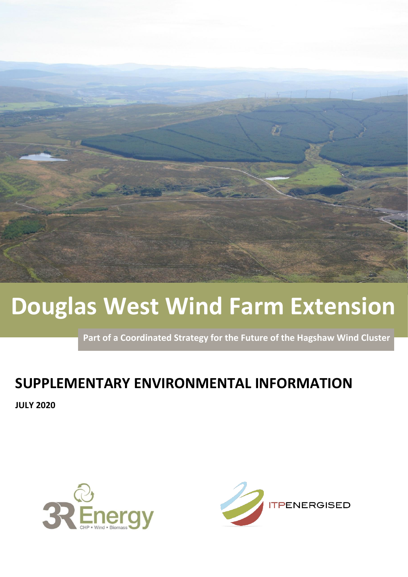

# **Douglas West Wind Farm Extension**

**Part of a Coordinated Strategy for the Future of the Hagshaw Wind Cluster**

### **SUPPLEMENTARY ENVIRONMENTAL INFORMATION**

**JULY 2020**



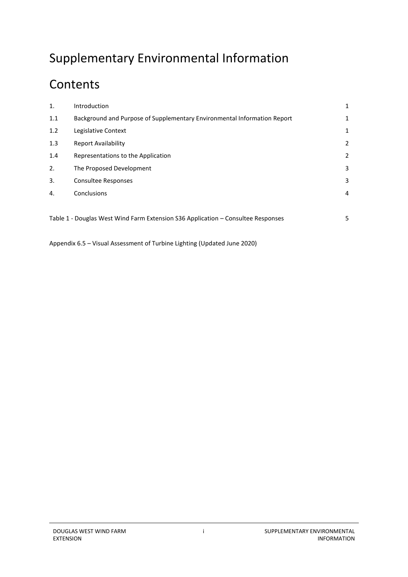### Supplementary Environmental Information

## Contents

| 1.                                                                                    | Introduction                                                             | 1              |  |
|---------------------------------------------------------------------------------------|--------------------------------------------------------------------------|----------------|--|
| 1.1                                                                                   | Background and Purpose of Supplementary Environmental Information Report | 1              |  |
| 1.2                                                                                   | Legislative Context                                                      | 1              |  |
| 1.3                                                                                   | <b>Report Availability</b>                                               | $\overline{2}$ |  |
| 1.4                                                                                   | Representations to the Application                                       | 2              |  |
| 2.                                                                                    | The Proposed Development                                                 | 3              |  |
| 3.                                                                                    | Consultee Responses                                                      | 3              |  |
| 4.                                                                                    | Conclusions                                                              | 4              |  |
|                                                                                       |                                                                          |                |  |
| Table 1 - Douglas West Wind Farm Extension S36 Application - Consultee Responses<br>5 |                                                                          |                |  |
|                                                                                       |                                                                          |                |  |

Appendix 6.5 – Visual Assessment of Turbine Lighting (Updated June 2020)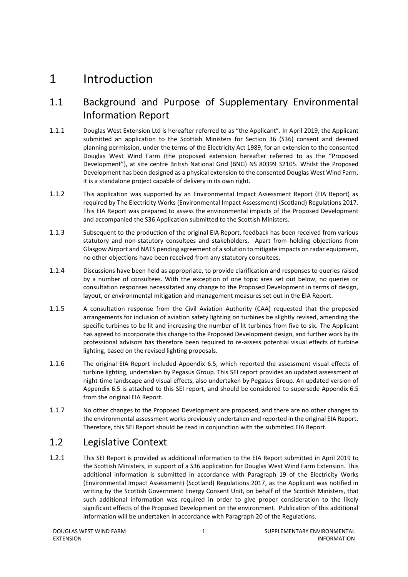### 1 Introduction

#### 1.1 Background and Purpose of Supplementary Environmental Information Report

- 1.1.1 Douglas West Extension Ltd is hereafter referred to as "the Applicant". In April 2019, the Applicant submitted an application to the Scottish Ministers for Section 36 (S36) consent and deemed planning permission, under the terms of the Electricity Act 1989, for an extension to the consented Douglas West Wind Farm (the proposed extension hereafter referred to as the "Proposed Development"), at site centre British National Grid (BNG) NS 80399 32105. Whilst the Proposed Development has been designed as a physical extension to the consented Douglas West Wind Farm, it is a standalone project capable of delivery in its own right.
- 1.1.2 This application was supported by an Environmental Impact Assessment Report (EIA Report) as required by The Electricity Works (Environmental Impact Assessment) (Scotland) Regulations 2017. This EIA Report was prepared to assess the environmental impacts of the Proposed Development and accompanied the S36 Application submitted to the Scottish Ministers.
- 1.1.3 Subsequent to the production of the original EIA Report, feedback has been received from various statutory and non-statutory consultees and stakeholders. Apart from holding objections from Glasgow Airport and NATS pending agreement of a solution to mitigate impacts on radar equipment, no other objections have been received from any statutory consultees.
- 1.1.4 Discussions have been held as appropriate, to provide clarification and responses to queries raised by a number of consultees. With the exception of one topic area set out below, no queries or consultation responses necessitated any change to the Proposed Development in terms of design, layout, or environmental mitigation and management measures set out in the EIA Report.
- 1.1.5 A consultation response from the Civil Aviation Authority (CAA) requested that the proposed arrangements for inclusion of aviation safety lighting on turbines be slightly revised, amending the specific turbines to be lit and increasing the number of lit turbines from five to six. The Applicant has agreed to incorporate this change to the Proposed Development design, and further work by its professional advisors has therefore been required to re-assess potential visual effects of turbine lighting, based on the revised lighting proposals.
- 1.1.6 The original EIA Report included Appendix 6.5, which reported the assessment visual effects of turbine lighting, undertaken by Pegasus Group. This SEI report provides an updated assessment of night-time landscape and visual effects, also undertaken by Pegasus Group. An updated version of Appendix 6.5 is attached to this SEI report, and should be considered to supersede Appendix 6.5 from the original EIA Report.
- 1.1.7 No other changes to the Proposed Development are proposed, and there are no other changes to the environmental assessment works previously undertaken and reported in the original EIA Report. Therefore, this SEI Report should be read in conjunction with the submitted EIA Report.

#### 1.2 Legislative Context

1.2.1 This SEI Report is provided as additional information to the EIA Report submitted in April 2019 to the Scottish Ministers, in support of a S36 application for Douglas West Wind Farm Extension. This additional information is submitted in accordance with Paragraph 19 of the Electricity Works (Environmental Impact Assessment) (Scotland) Regulations 2017, as the Applicant was notified in writing by the Scottish Government Energy Consent Unit, on behalf of the Scottish Ministers, that such additional information was required in order to give proper consideration to the likely significant effects of the Proposed Development on the environment. Publication of this additional information will be undertaken in accordance with Paragraph 20 of the Regulations.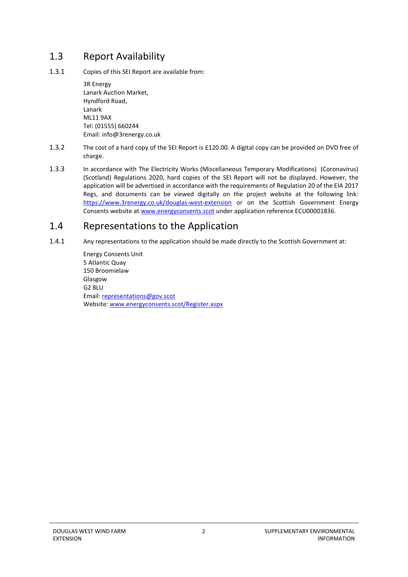#### 1.3 Report Availability

1.3.1 Copies of this SEI Report are available from:

3R Energy Lanark Auction Market, Hyndford Road, Lanark ML11 9AX Tel: (01555) 660244 Email: info@3renergy.co.uk

- 1.3.2 The cost of a hard copy of the SEI Report is £120.00. A digital copy can be provided on DVD free of charge.
- 1.3.3 In accordance with The Electricity Works (Miscellaneous Temporary Modifications) (Coronavirus) (Scotland) Regulations 2020, hard copies of the SEI Report will not be displayed. However, the application will be advertised in accordance with the requirements of Regulation 20 of the EIA 2017 Regs, and documents can be viewed digitally on the project website at the following link: <https://www.3renergy.co.uk/douglas-west-extension> or on the Scottish Government Energy Consents website a[t www.energyconsents.scot](http://www.energyconsents.scot/) under application reference ECU00001836.

#### 1.4 Representations to the Application

1.4.1 Any representations to the application should be made directly to the Scottish Government at:

Energy Consents Unit 5 Atlantic Quay 150 Broomielaw Glasgow G2 8LU Email: [representations@gov.scot](mailto:representations@gov.scot) Website: [www.energyconsents.scot/Register.aspx](http://www.energyconsents.scot/Register.aspx)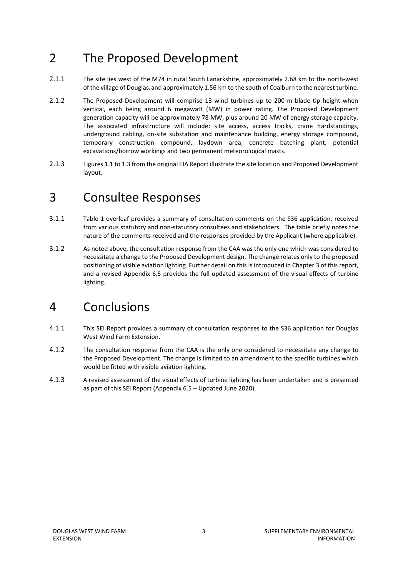### 2 The Proposed Development

- 2.1.1 The site lies west of the M74 in rural South Lanarkshire, approximately 2.68 km to the north-west of the village of Douglas*,* and approximately 1.56 km to the south of Coalburn to the nearest turbine.
- 2.1.2 The Proposed Development will comprise 13 wind turbines up to 200 m blade tip height when vertical, each being around 6 megawatt (MW) in power rating. The Proposed Development generation capacity will be approximately 78 MW, plus around 20 MW of energy storage capacity. The associated infrastructure will include: site access, access tracks, crane hardstandings, underground cabling, on-site substation and maintenance building, energy storage compound, temporary construction compound, laydown area, concrete batching plant, potential excavations/borrow workings and two permanent meteorological masts.
- 2.1.3 Figures 1.1 to 1.3 from the original EIA Report illustrate the site location and Proposed Development layout.

#### 3 Consultee Responses

- 3.1.1 Table 1 overleaf provides a summary of consultation comments on the S36 application, received from various statutory and non-statutory consultees and stakeholders. The table briefly notes the nature of the comments received and the responses provided by the Applicant (where applicable).
- 3.1.2 As noted above, the consultation response from the CAA was the only one which was considered to necessitate a change to the Proposed Development design. The change relates only to the proposed positioning of visible aviation lighting. Further detail on this is introduced in Chapter 3 of this report, and a revised Appendix 6.5 provides the full updated assessment of the visual effects of turbine lighting.

### 4 Conclusions

- 4.1.1 This SEI Report provides a summary of consultation responses to the S36 application for Douglas West Wind Farm Extension.
- 4.1.2 The consultation response from the CAA is the only one considered to necessitate any change to the Proposed Development. The change is limited to an amendment to the specific turbines which would be fitted with visible aviation lighting.
- 4.1.3 A revised assessment of the visual effects of turbine lighting has been undertaken and is presented as part of this SEI Report (Appendix 6.5 – Updated June 2020).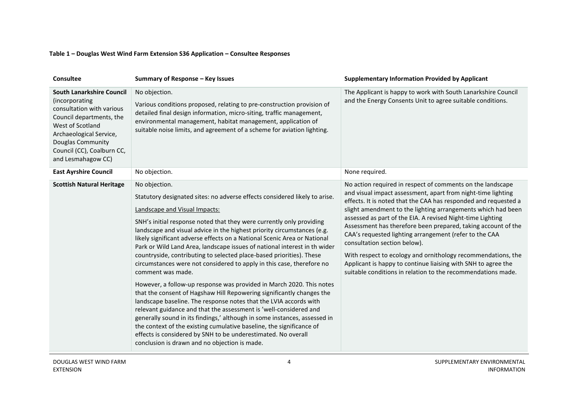#### **Table 1 – Douglas West Wind Farm Extension S36 Application – Consultee Responses**

| Consultee                                                                                                                                                                                                                           | Summary of Response - Key Issues                                                                                                                                                                                                                                                                                                                                                                                                                                                                                                                                                                                                                                                                                                                                                                                                                                                                                                                                                                                                                                                                                                                                                 | <b>Supplementary Information Provided by Applicant</b>                                                                                                                                                                                                                                                                                                                                                                                                                                                                                                                                                                                                                                  |
|-------------------------------------------------------------------------------------------------------------------------------------------------------------------------------------------------------------------------------------|----------------------------------------------------------------------------------------------------------------------------------------------------------------------------------------------------------------------------------------------------------------------------------------------------------------------------------------------------------------------------------------------------------------------------------------------------------------------------------------------------------------------------------------------------------------------------------------------------------------------------------------------------------------------------------------------------------------------------------------------------------------------------------------------------------------------------------------------------------------------------------------------------------------------------------------------------------------------------------------------------------------------------------------------------------------------------------------------------------------------------------------------------------------------------------|-----------------------------------------------------------------------------------------------------------------------------------------------------------------------------------------------------------------------------------------------------------------------------------------------------------------------------------------------------------------------------------------------------------------------------------------------------------------------------------------------------------------------------------------------------------------------------------------------------------------------------------------------------------------------------------------|
| <b>South Lanarkshire Council</b><br>(incorporating<br>consultation with various<br>Council departments, the<br>West of Scotland<br>Archaeological Service,<br>Douglas Community<br>Council (CC), Coalburn CC,<br>and Lesmahagow CC) | No objection.<br>Various conditions proposed, relating to pre-construction provision of<br>detailed final design information, micro-siting, traffic management,<br>environmental management, habitat management, application of<br>suitable noise limits, and agreement of a scheme for aviation lighting.                                                                                                                                                                                                                                                                                                                                                                                                                                                                                                                                                                                                                                                                                                                                                                                                                                                                       | The Applicant is happy to work with South Lanarkshire Council<br>and the Energy Consents Unit to agree suitable conditions.                                                                                                                                                                                                                                                                                                                                                                                                                                                                                                                                                             |
| <b>East Ayrshire Council</b>                                                                                                                                                                                                        | No objection.                                                                                                                                                                                                                                                                                                                                                                                                                                                                                                                                                                                                                                                                                                                                                                                                                                                                                                                                                                                                                                                                                                                                                                    | None required.                                                                                                                                                                                                                                                                                                                                                                                                                                                                                                                                                                                                                                                                          |
| <b>Scottish Natural Heritage</b>                                                                                                                                                                                                    | No objection.<br>Statutory designated sites: no adverse effects considered likely to arise.<br>Landscape and Visual Impacts:<br>SNH's initial response noted that they were currently only providing<br>landscape and visual advice in the highest priority circumstances (e.g.<br>likely significant adverse effects on a National Scenic Area or National<br>Park or Wild Land Area, landscape issues of national interest in th wider<br>countryside, contributing to selected place-based priorities). These<br>circumstances were not considered to apply in this case, therefore no<br>comment was made.<br>However, a follow-up response was provided in March 2020. This notes<br>that the consent of Hagshaw Hill Repowering significantly changes the<br>landscape baseline. The response notes that the LVIA accords with<br>relevant guidance and that the assessment is 'well-considered and<br>generally sound in its findings,' although in some instances, assessed in<br>the context of the existing cumulative baseline, the significance of<br>effects is considered by SNH to be underestimated. No overall<br>conclusion is drawn and no objection is made. | No action required in respect of comments on the landscape<br>and visual impact assessment, apart from night-time lighting<br>effects. It is noted that the CAA has responded and requested a<br>slight amendment to the lighting arrangements which had been<br>assessed as part of the EIA. A revised Night-time Lighting<br>Assessment has therefore been prepared, taking account of the<br>CAA's requested lighting arrangement (refer to the CAA<br>consultation section below).<br>With respect to ecology and ornithology recommendations, the<br>Applicant is happy to continue liaising with SNH to agree the<br>suitable conditions in relation to the recommendations made. |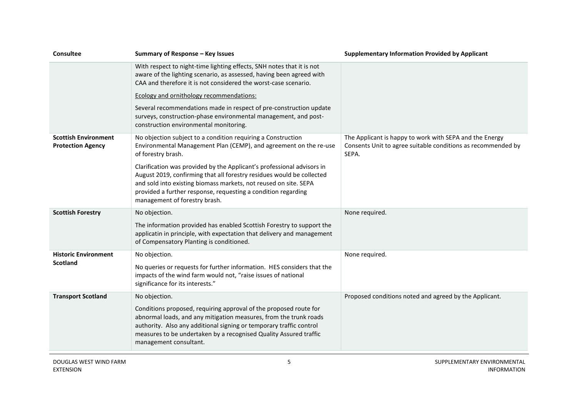| <b>Consultee</b>                                        | Summary of Response - Key Issues                                                                                                                                                                                                                                                                                              | <b>Supplementary Information Provided by Applicant</b>                                                                           |
|---------------------------------------------------------|-------------------------------------------------------------------------------------------------------------------------------------------------------------------------------------------------------------------------------------------------------------------------------------------------------------------------------|----------------------------------------------------------------------------------------------------------------------------------|
|                                                         | With respect to night-time lighting effects, SNH notes that it is not<br>aware of the lighting scenario, as assessed, having been agreed with<br>CAA and therefore it is not considered the worst-case scenario.<br><b>Ecology and ornithology recommendations:</b>                                                           |                                                                                                                                  |
|                                                         | Several recommendations made in respect of pre-construction update<br>surveys, construction-phase environmental management, and post-<br>construction environmental monitoring.                                                                                                                                               |                                                                                                                                  |
| <b>Scottish Environment</b><br><b>Protection Agency</b> | No objection subject to a condition requiring a Construction<br>Environmental Management Plan (CEMP), and agreement on the re-use<br>of forestry brash.                                                                                                                                                                       | The Applicant is happy to work with SEPA and the Energy<br>Consents Unit to agree suitable conditions as recommended by<br>SEPA. |
|                                                         | Clarification was provided by the Applicant's professional advisors in<br>August 2019, confirming that all forestry residues would be collected<br>and sold into existing biomass markets, not reused on site. SEPA<br>provided a further response, requesting a condition regarding<br>management of forestry brash.         |                                                                                                                                  |
| <b>Scottish Forestry</b>                                | No objection.                                                                                                                                                                                                                                                                                                                 | None required.                                                                                                                   |
|                                                         | The information provided has enabled Scottish Forestry to support the<br>applicatin in principle, with expectation that delivery and management<br>of Compensatory Planting is conditioned.                                                                                                                                   |                                                                                                                                  |
| <b>Historic Environment</b><br><b>Scotland</b>          | No objection.                                                                                                                                                                                                                                                                                                                 | None required.                                                                                                                   |
|                                                         | No queries or requests for further information. HES considers that the<br>impacts of the wind farm would not, "raise issues of national<br>significance for its interests."                                                                                                                                                   |                                                                                                                                  |
| <b>Transport Scotland</b>                               | No objection.<br>Conditions proposed, requiring approval of the proposed route for<br>abnormal loads, and any mitigation measures, from the trunk roads<br>authority. Also any additional signing or temporary traffic control<br>measures to be undertaken by a recognised Quality Assured traffic<br>management consultant. | Proposed conditions noted and agreed by the Applicant.                                                                           |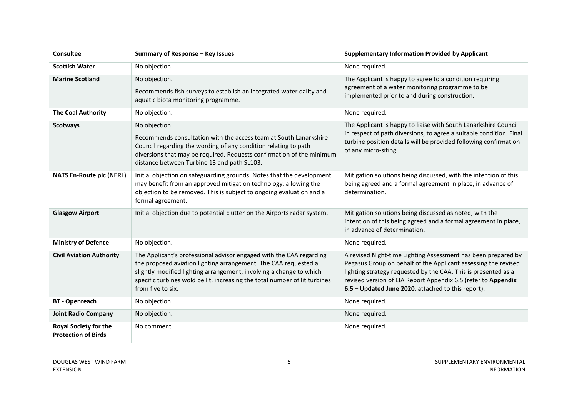| <b>Consultee</b>                                           | Summary of Response - Key Issues                                                                                                                                                                                                                                                                                 | <b>Supplementary Information Provided by Applicant</b>                                                                                                                                                                                                                                                                   |
|------------------------------------------------------------|------------------------------------------------------------------------------------------------------------------------------------------------------------------------------------------------------------------------------------------------------------------------------------------------------------------|--------------------------------------------------------------------------------------------------------------------------------------------------------------------------------------------------------------------------------------------------------------------------------------------------------------------------|
| <b>Scottish Water</b>                                      | No objection.                                                                                                                                                                                                                                                                                                    | None required.                                                                                                                                                                                                                                                                                                           |
| <b>Marine Scotland</b>                                     | No objection.<br>Recommends fish surveys to establish an integrated water qality and<br>aquatic biota monitoring programme.                                                                                                                                                                                      | The Applicant is happy to agree to a condition requiring<br>agreement of a water monitoring programme to be<br>implemented prior to and during construction.                                                                                                                                                             |
| <b>The Coal Authority</b>                                  | No objection.                                                                                                                                                                                                                                                                                                    | None required.                                                                                                                                                                                                                                                                                                           |
| <b>Scotways</b>                                            | No objection.<br>Recommends consultation with the access team at South Lanarkshire<br>Council regarding the wording of any condition relating to path<br>diversions that may be required. Requests confirmation of the minimum<br>distance between Turbine 13 and path SL103.                                    | The Applicant is happy to liaise with South Lanarkshire Council<br>in respect of path diversions, to agree a suitable condition. Final<br>turbine position details will be provided following confirmation<br>of any micro-siting.                                                                                       |
| <b>NATS En-Route plc (NERL)</b>                            | Initial objection on safeguarding grounds. Notes that the development<br>may benefit from an approved mitigation technology, allowing the<br>objection to be removed. This is subject to ongoing evaluation and a<br>formal agreement.                                                                           | Mitigation solutions being discussed, with the intention of this<br>being agreed and a formal agreement in place, in advance of<br>determination.                                                                                                                                                                        |
| <b>Glasgow Airport</b>                                     | Initial objection due to potential clutter on the Airports radar system.                                                                                                                                                                                                                                         | Mitigation solutions being discussed as noted, with the<br>intention of this being agreed and a formal agreement in place,<br>in advance of determination.                                                                                                                                                               |
| <b>Ministry of Defence</b>                                 | No objection.                                                                                                                                                                                                                                                                                                    | None required.                                                                                                                                                                                                                                                                                                           |
| <b>Civil Aviation Authority</b>                            | The Applicant's professional advisor engaged with the CAA regarding<br>the proposed aviation lighting arrangement. The CAA requested a<br>slightly modified lighting arrangement, involving a change to which<br>specific turbines wold be lit, increasing the total number of lit turbines<br>from five to six. | A revised Night-time Lighting Assessment has been prepared by<br>Pegasus Group on behalf of the Applicant assessing the revised<br>lighting strategy requested by the CAA. This is presented as a<br>revised version of EIA Report Appendix 6.5 (refer to Appendix<br>6.5 - Updated June 2020, attached to this report). |
| <b>BT</b> - Openreach                                      | No objection.                                                                                                                                                                                                                                                                                                    | None required.                                                                                                                                                                                                                                                                                                           |
| <b>Joint Radio Company</b>                                 | No objection.                                                                                                                                                                                                                                                                                                    | None required.                                                                                                                                                                                                                                                                                                           |
| <b>Royal Society for the</b><br><b>Protection of Birds</b> | No comment.                                                                                                                                                                                                                                                                                                      | None required.                                                                                                                                                                                                                                                                                                           |